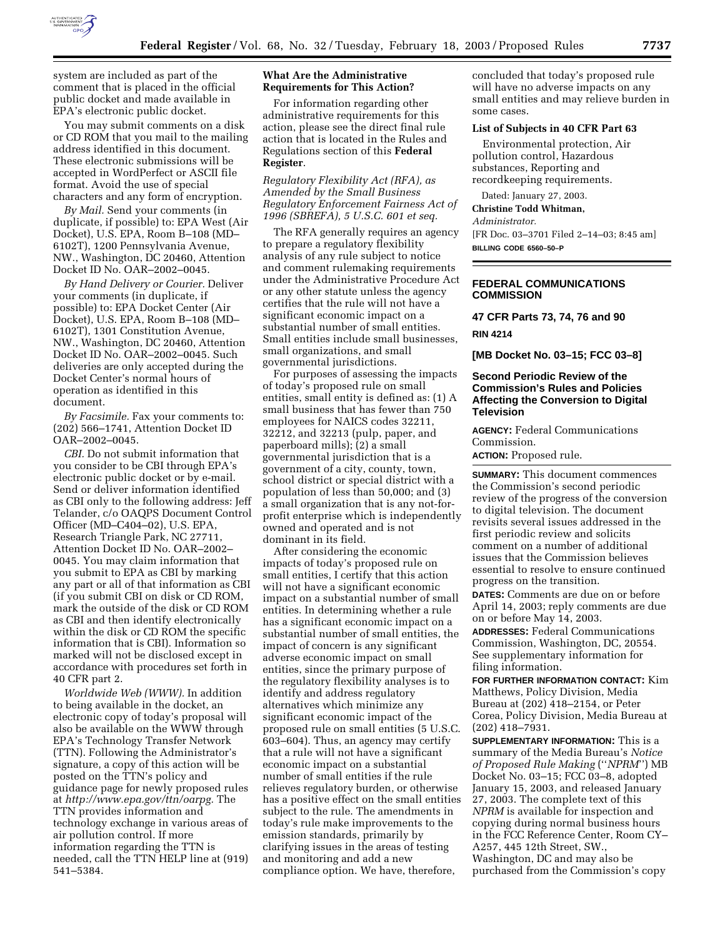

system are included as part of the comment that is placed in the official public docket and made available in EPA's electronic public docket.

You may submit comments on a disk or CD ROM that you mail to the mailing address identified in this document. These electronic submissions will be accepted in WordPerfect or ASCII file format. Avoid the use of special characters and any form of encryption.

*By Mail.* Send your comments (in duplicate, if possible) to: EPA West (Air Docket), U.S. EPA, Room B–108 (MD– 6102T), 1200 Pennsylvania Avenue, NW., Washington, DC 20460, Attention Docket ID No. OAR–2002–0045.

*By Hand Delivery or Courier.* Deliver your comments (in duplicate, if possible) to: EPA Docket Center (Air Docket), U.S. EPA, Room B–108 (MD– 6102T), 1301 Constitution Avenue, NW., Washington, DC 20460, Attention Docket ID No. OAR–2002–0045. Such deliveries are only accepted during the Docket Center's normal hours of operation as identified in this document.

*By Facsimile.* Fax your comments to: (202) 566–1741, Attention Docket ID OAR–2002–0045.

*CBI.* Do not submit information that you consider to be CBI through EPA's electronic public docket or by e-mail. Send or deliver information identified as CBI only to the following address: Jeff Telander, c/o OAQPS Document Control Officer (MD–C404–02), U.S. EPA, Research Triangle Park, NC 27711, Attention Docket ID No. OAR–2002– 0045. You may claim information that you submit to EPA as CBI by marking any part or all of that information as CBI (if you submit CBI on disk or CD ROM, mark the outside of the disk or CD ROM as CBI and then identify electronically within the disk or CD ROM the specific information that is CBI). Information so marked will not be disclosed except in accordance with procedures set forth in 40 CFR part 2.

*Worldwide Web (WWW).* In addition to being available in the docket, an electronic copy of today's proposal will also be available on the WWW through EPA's Technology Transfer Network (TTN). Following the Administrator's signature, a copy of this action will be posted on the TTN's policy and guidance page for newly proposed rules at *http://www.epa.gov/ttn/oarpg.* The TTN provides information and technology exchange in various areas of air pollution control. If more information regarding the TTN is needed, call the TTN HELP line at (919) 541–5384.

# **What Are the Administrative Requirements for This Action?**

For information regarding other administrative requirements for this action, please see the direct final rule action that is located in the Rules and Regulations section of this **Federal Register**.

*Regulatory Flexibility Act (RFA), as Amended by the Small Business Regulatory Enforcement Fairness Act of 1996 (SBREFA), 5 U.S.C. 601 et seq.* 

The RFA generally requires an agency to prepare a regulatory flexibility analysis of any rule subject to notice and comment rulemaking requirements under the Administrative Procedure Act or any other statute unless the agency certifies that the rule will not have a significant economic impact on a substantial number of small entities. Small entities include small businesses, small organizations, and small governmental jurisdictions.

For purposes of assessing the impacts of today's proposed rule on small entities, small entity is defined as: (1) A small business that has fewer than 750 employees for NAICS codes 32211, 32212, and 32213 (pulp, paper, and paperboard mills); (2) a small governmental jurisdiction that is a government of a city, county, town, school district or special district with a population of less than 50,000; and (3) a small organization that is any not-forprofit enterprise which is independently owned and operated and is not dominant in its field.

After considering the economic impacts of today's proposed rule on small entities, I certify that this action will not have a significant economic impact on a substantial number of small entities. In determining whether a rule has a significant economic impact on a substantial number of small entities, the impact of concern is any significant adverse economic impact on small entities, since the primary purpose of the regulatory flexibility analyses is to identify and address regulatory alternatives which minimize any significant economic impact of the proposed rule on small entities (5 U.S.C. 603–604). Thus, an agency may certify that a rule will not have a significant economic impact on a substantial number of small entities if the rule relieves regulatory burden, or otherwise has a positive effect on the small entities subject to the rule. The amendments in today's rule make improvements to the emission standards, primarily by clarifying issues in the areas of testing and monitoring and add a new compliance option. We have, therefore,

concluded that today's proposed rule will have no adverse impacts on any small entities and may relieve burden in some cases.

# **List of Subjects in 40 CFR Part 63**

Environmental protection, Air pollution control, Hazardous substances, Reporting and recordkeeping requirements.

Dated: January 27, 2003. **Christine Todd Whitman,** 

*Administrator.*

[FR Doc. 03–3701 Filed 2–14–03; 8:45 am] **BILLING CODE 6560–50–P**

#### **FEDERAL COMMUNICATIONS COMMISSION**

**47 CFR Parts 73, 74, 76 and 90 RIN 4214** 

**[MB Docket No. 03–15; FCC 03–8]** 

## **Second Periodic Review of the Commission's Rules and Policies Affecting the Conversion to Digital Television**

**AGENCY:** Federal Communications Commission.

**ACTION:** Proposed rule.

**SUMMARY:** This document commences the Commission's second periodic review of the progress of the conversion to digital television. The document revisits several issues addressed in the first periodic review and solicits comment on a number of additional issues that the Commission believes essential to resolve to ensure continued progress on the transition.

**DATES:** Comments are due on or before April 14, 2003; reply comments are due on or before May 14, 2003.

**ADDRESSES:** Federal Communications Commission, Washington, DC, 20554. See supplementary information for filing information.

**FOR FURTHER INFORMATION CONTACT:** Kim Matthews, Policy Division, Media Bureau at (202) 418–2154, or Peter Corea, Policy Division, Media Bureau at (202) 418–7931.

**SUPPLEMENTARY INFORMATION:** This is a summary of the Media Bureau's *Notice of Proposed Rule Making* (''*NPRM*'') MB Docket No. 03–15; FCC 03–8, adopted January 15, 2003, and released January 27, 2003. The complete text of this *NPRM* is available for inspection and copying during normal business hours in the FCC Reference Center, Room CY– A257, 445 12th Street, SW., Washington, DC and may also be purchased from the Commission's copy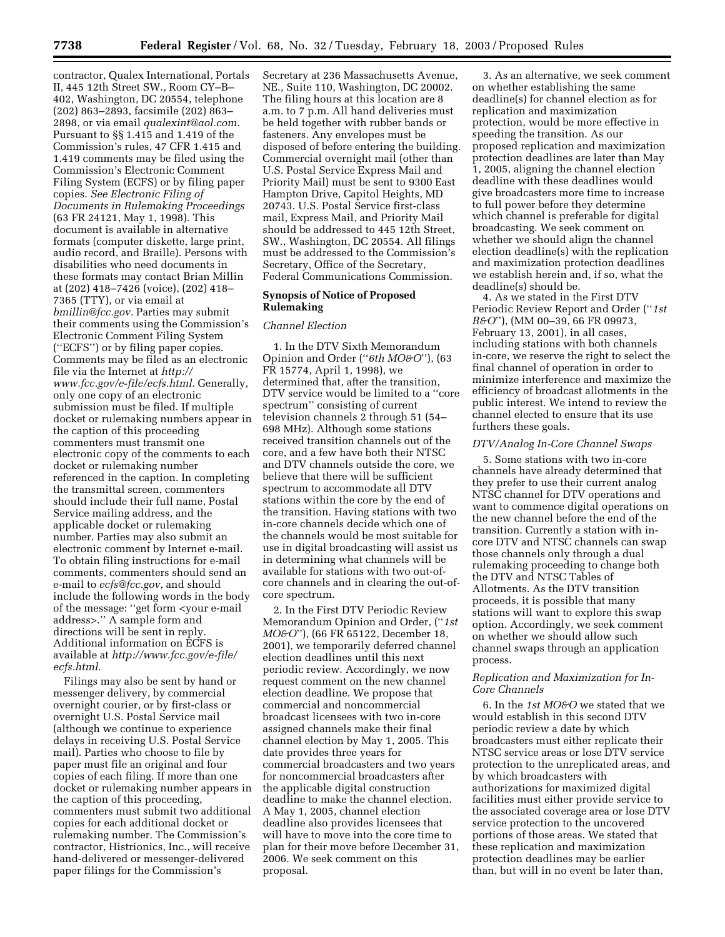contractor, Qualex International, Portals II, 445 12th Street SW., Room CY–B– 402, Washington, DC 20554, telephone (202) 863–2893, facsimile (202) 863– 2898, or via email *qualexint@aol.com.* Pursuant to §§ 1.415 and 1.419 of the Commission's rules, 47 CFR 1.415 and 1.419 comments may be filed using the Commission's Electronic Comment Filing System (ECFS) or by filing paper copies. *See Electronic Filing of Documents in Rulemaking Proceedings* (63 FR 24121, May 1, 1998). This document is available in alternative formats (computer diskette, large print, audio record, and Braille). Persons with disabilities who need documents in these formats may contact Brian Millin at (202) 418–7426 (voice), (202) 418– 7365 (TTY), or via email at *bmillin@fcc.gov.* Parties may submit their comments using the Commission's Electronic Comment Filing System (''ECFS'') or by filing paper copies. Comments may be filed as an electronic file via the Internet at *http:// www.fcc.gov/e-file/ecfs.html.* Generally, only one copy of an electronic submission must be filed. If multiple docket or rulemaking numbers appear in the caption of this proceeding commenters must transmit one electronic copy of the comments to each docket or rulemaking number referenced in the caption. In completing the transmittal screen, commenters should include their full name, Postal Service mailing address, and the applicable docket or rulemaking number. Parties may also submit an electronic comment by Internet e-mail. To obtain filing instructions for e-mail comments, commenters should send an e-mail to *ecfs@fcc.gov,* and should include the following words in the body of the message: ''get form <your e-mail address>.'' A sample form and directions will be sent in reply. Additional information on ECFS is available at *http://www.fcc.gov/e-file/ ecfs.html.*

Filings may also be sent by hand or messenger delivery, by commercial overnight courier, or by first-class or overnight U.S. Postal Service mail (although we continue to experience delays in receiving U.S. Postal Service mail). Parties who choose to file by paper must file an original and four copies of each filing. If more than one docket or rulemaking number appears in the caption of this proceeding, commenters must submit two additional copies for each additional docket or rulemaking number. The Commission's contractor, Histrionics, Inc., will receive hand-delivered or messenger-delivered paper filings for the Commission's

Secretary at 236 Massachusetts Avenue, NE., Suite 110, Washington, DC 20002. The filing hours at this location are 8 a.m. to 7 p.m. All hand deliveries must be held together with rubber bands or fasteners. Any envelopes must be disposed of before entering the building. Commercial overnight mail (other than U.S. Postal Service Express Mail and Priority Mail) must be sent to 9300 East Hampton Drive, Capitol Heights, MD 20743. U.S. Postal Service first-class mail, Express Mail, and Priority Mail should be addressed to 445 12th Street, SW., Washington, DC 20554. All filings must be addressed to the Commission's Secretary, Office of the Secretary, Federal Communications Commission.

### **Synopsis of Notice of Proposed Rulemaking**

### *Channel Election*

1. In the DTV Sixth Memorandum Opinion and Order (''*6th MO&O*''), (63 FR 15774, April 1, 1998), we determined that, after the transition, DTV service would be limited to a ''core spectrum'' consisting of current television channels 2 through 51 (54– 698 MHz). Although some stations received transition channels out of the core, and a few have both their NTSC and DTV channels outside the core, we believe that there will be sufficient spectrum to accommodate all DTV stations within the core by the end of the transition. Having stations with two in-core channels decide which one of the channels would be most suitable for use in digital broadcasting will assist us in determining what channels will be available for stations with two out-ofcore channels and in clearing the out-ofcore spectrum.

2. In the First DTV Periodic Review Memorandum Opinion and Order, (''*1st MO&O*''), (66 FR 65122, December 18, 2001), we temporarily deferred channel election deadlines until this next periodic review. Accordingly, we now request comment on the new channel election deadline. We propose that commercial and noncommercial broadcast licensees with two in-core assigned channels make their final channel election by May 1, 2005. This date provides three years for commercial broadcasters and two years for noncommercial broadcasters after the applicable digital construction deadline to make the channel election. A May 1, 2005, channel election deadline also provides licensees that will have to move into the core time to plan for their move before December 31, 2006. We seek comment on this proposal.

3. As an alternative, we seek comment on whether establishing the same deadline(s) for channel election as for replication and maximization protection, would be more effective in speeding the transition. As our proposed replication and maximization protection deadlines are later than May 1, 2005, aligning the channel election deadline with these deadlines would give broadcasters more time to increase to full power before they determine which channel is preferable for digital broadcasting. We seek comment on whether we should align the channel election deadline(s) with the replication and maximization protection deadlines we establish herein and, if so, what the deadline(s) should be.

4. As we stated in the First DTV Periodic Review Report and Order (''*1st R&O*''), (MM 00–39, 66 FR 09973, February 13, 2001), in all cases, including stations with both channels in-core, we reserve the right to select the final channel of operation in order to minimize interference and maximize the efficiency of broadcast allotments in the public interest. We intend to review the channel elected to ensure that its use furthers these goals.

#### *DTV/Analog In-Core Channel Swaps*

5. Some stations with two in-core channels have already determined that they prefer to use their current analog NTSC channel for DTV operations and want to commence digital operations on the new channel before the end of the transition. Currently a station with incore DTV and NTSC channels can swap those channels only through a dual rulemaking proceeding to change both the DTV and NTSC Tables of Allotments. As the DTV transition proceeds, it is possible that many stations will want to explore this swap option. Accordingly, we seek comment on whether we should allow such channel swaps through an application process.

## *Replication and Maximization for In-Core Channels*

6. In the *1st MO&O* we stated that we would establish in this second DTV periodic review a date by which broadcasters must either replicate their NTSC service areas or lose DTV service protection to the unreplicated areas, and by which broadcasters with authorizations for maximized digital facilities must either provide service to the associated coverage area or lose DTV service protection to the uncovered portions of those areas. We stated that these replication and maximization protection deadlines may be earlier than, but will in no event be later than,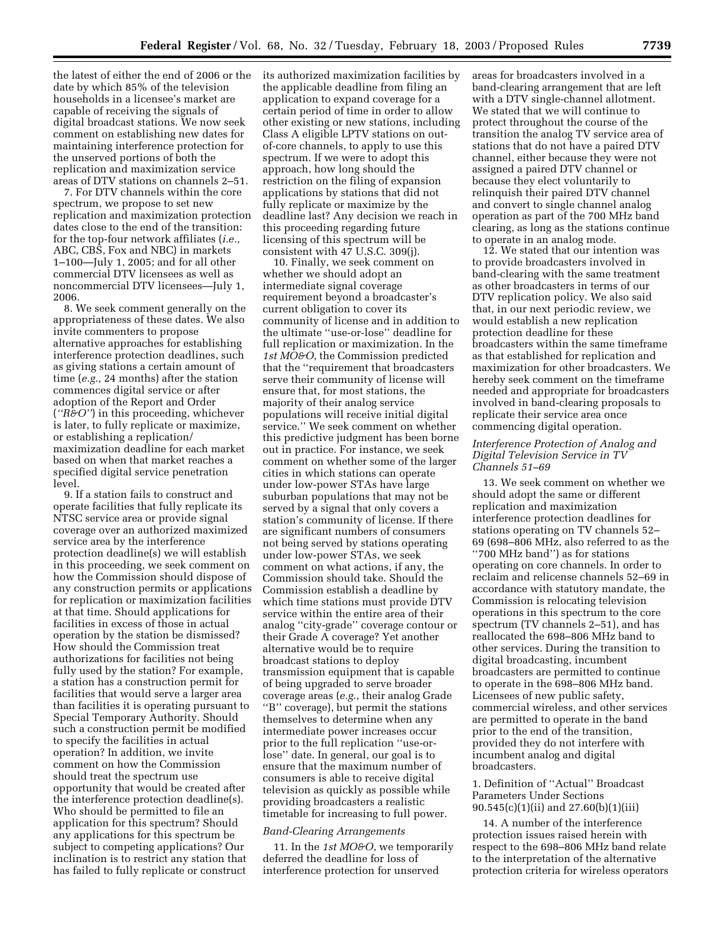the latest of either the end of 2006 or the date by which 85% of the television households in a licensee's market are capable of receiving the signals of digital broadcast stations. We now seek comment on establishing new dates for maintaining interference protection for the unserved portions of both the replication and maximization service areas of DTV stations on channels 2–51.

7. For DTV channels within the core spectrum, we propose to set new replication and maximization protection dates close to the end of the transition: for the top-four network affiliates (*i.e.,* ABC, CBS, Fox and NBC) in markets 1–100—July 1, 2005; and for all other commercial DTV licensees as well as noncommercial DTV licensees—July 1, 2006.

8. We seek comment generally on the appropriateness of these dates. We also invite commenters to propose alternative approaches for establishing interference protection deadlines, such as giving stations a certain amount of time (*e.g.,* 24 months) after the station commences digital service or after adoption of the Report and Order (*''R&O''*) in this proceeding, whichever is later, to fully replicate or maximize, or establishing a replication/ maximization deadline for each market based on when that market reaches a specified digital service penetration level.

9. If a station fails to construct and operate facilities that fully replicate its NTSC service area or provide signal coverage over an authorized maximized service area by the interference protection deadline(s) we will establish in this proceeding, we seek comment on how the Commission should dispose of any construction permits or applications for replication or maximization facilities at that time. Should applications for facilities in excess of those in actual operation by the station be dismissed? How should the Commission treat authorizations for facilities not being fully used by the station? For example, a station has a construction permit for facilities that would serve a larger area than facilities it is operating pursuant to Special Temporary Authority. Should such a construction permit be modified to specify the facilities in actual operation? In addition, we invite comment on how the Commission should treat the spectrum use opportunity that would be created after the interference protection deadline(s). Who should be permitted to file an application for this spectrum? Should any applications for this spectrum be subject to competing applications? Our inclination is to restrict any station that has failed to fully replicate or construct

its authorized maximization facilities by the applicable deadline from filing an application to expand coverage for a certain period of time in order to allow other existing or new stations, including Class A eligible LPTV stations on outof-core channels, to apply to use this spectrum. If we were to adopt this approach, how long should the restriction on the filing of expansion applications by stations that did not fully replicate or maximize by the deadline last? Any decision we reach in this proceeding regarding future licensing of this spectrum will be consistent with 47 U.S.C. 309(j).

10. Finally, we seek comment on whether we should adopt an intermediate signal coverage requirement beyond a broadcaster's current obligation to cover its community of license and in addition to the ultimate ''use-or-lose'' deadline for full replication or maximization. In the *1st MO&O*, the Commission predicted that the ''requirement that broadcasters serve their community of license will ensure that, for most stations, the majority of their analog service populations will receive initial digital service.'' We seek comment on whether this predictive judgment has been borne out in practice. For instance, we seek comment on whether some of the larger cities in which stations can operate under low-power STAs have large suburban populations that may not be served by a signal that only covers a station's community of license. If there are significant numbers of consumers not being served by stations operating under low-power STAs, we seek comment on what actions, if any, the Commission should take. Should the Commission establish a deadline by which time stations must provide DTV service within the entire area of their analog ''city-grade'' coverage contour or their Grade A coverage? Yet another alternative would be to require broadcast stations to deploy transmission equipment that is capable of being upgraded to serve broader coverage areas (*e.g.*, their analog Grade ''B'' coverage), but permit the stations themselves to determine when any intermediate power increases occur prior to the full replication ''use-orlose'' date. In general, our goal is to ensure that the maximum number of consumers is able to receive digital television as quickly as possible while providing broadcasters a realistic timetable for increasing to full power.

#### *Band-Clearing Arrangements*

11. In the *1st MO&O*, we temporarily deferred the deadline for loss of interference protection for unserved

areas for broadcasters involved in a band-clearing arrangement that are left with a DTV single-channel allotment. We stated that we will continue to protect throughout the course of the transition the analog TV service area of stations that do not have a paired DTV channel, either because they were not assigned a paired DTV channel or because they elect voluntarily to relinquish their paired DTV channel and convert to single channel analog operation as part of the 700 MHz band clearing, as long as the stations continue to operate in an analog mode.

12. We stated that our intention was to provide broadcasters involved in band-clearing with the same treatment as other broadcasters in terms of our DTV replication policy. We also said that, in our next periodic review, we would establish a new replication protection deadline for these broadcasters within the same timeframe as that established for replication and maximization for other broadcasters. We hereby seek comment on the timeframe needed and appropriate for broadcasters involved in band-clearing proposals to replicate their service area once commencing digital operation.

## *Interference Protection of Analog and Digital Television Service in TV Channels 51–69*

13. We seek comment on whether we should adopt the same or different replication and maximization interference protection deadlines for stations operating on TV channels 52– 69 (698–806 MHz, also referred to as the ''700 MHz band'') as for stations operating on core channels. In order to reclaim and relicense channels 52–69 in accordance with statutory mandate, the Commission is relocating television operations in this spectrum to the core spectrum (TV channels 2–51), and has reallocated the 698–806 MHz band to other services. During the transition to digital broadcasting, incumbent broadcasters are permitted to continue to operate in the 698–806 MHz band. Licensees of new public safety, commercial wireless, and other services are permitted to operate in the band prior to the end of the transition, provided they do not interfere with incumbent analog and digital broadcasters.

## 1. Definition of ''Actual'' Broadcast Parameters Under Sections 90.545(c)(1)(ii) and 27.60(b)(1)(iii)

14. A number of the interference protection issues raised herein with respect to the 698–806 MHz band relate to the interpretation of the alternative protection criteria for wireless operators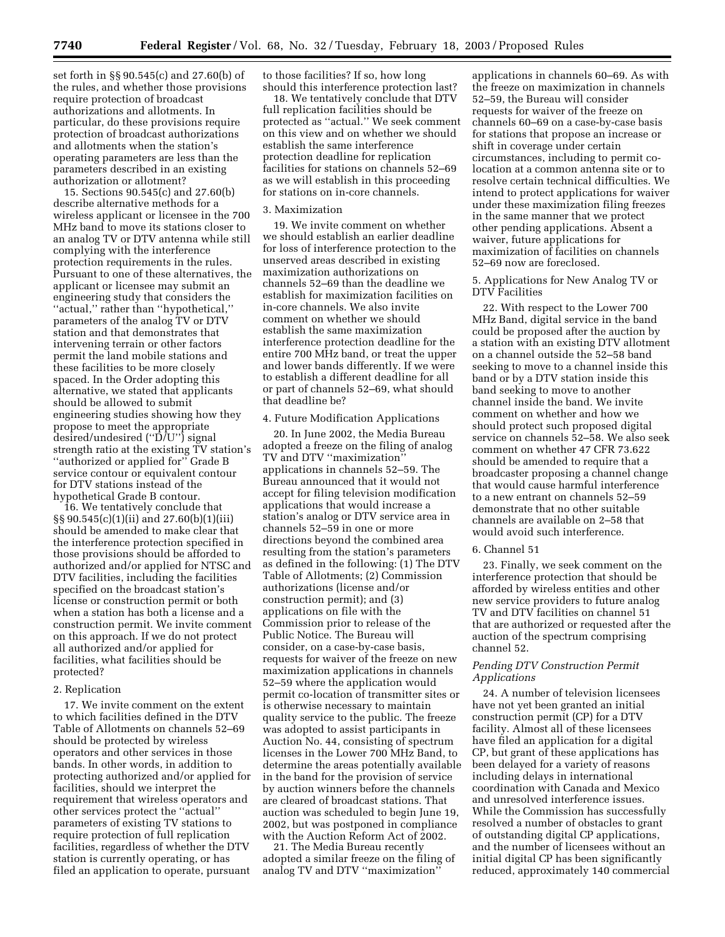set forth in §§ 90.545(c) and 27.60(b) of the rules, and whether those provisions require protection of broadcast authorizations and allotments. In particular, do these provisions require protection of broadcast authorizations and allotments when the station's operating parameters are less than the parameters described in an existing authorization or allotment?

15. Sections 90.545(c) and 27.60(b) describe alternative methods for a wireless applicant or licensee in the 700 MHz band to move its stations closer to an analog TV or DTV antenna while still complying with the interference protection requirements in the rules. Pursuant to one of these alternatives, the applicant or licensee may submit an engineering study that considers the ''actual,'' rather than ''hypothetical,'' parameters of the analog TV or DTV station and that demonstrates that intervening terrain or other factors permit the land mobile stations and these facilities to be more closely spaced. In the Order adopting this alternative, we stated that applicants should be allowed to submit engineering studies showing how they propose to meet the appropriate desired/undesired (''D/U'') signal strength ratio at the existing TV station's "authorized or applied for" Grade B service contour or equivalent contour for DTV stations instead of the hypothetical Grade B contour.

16. We tentatively conclude that §§ 90.545(c)(1)(ii) and 27.60(b)(1)(iii) should be amended to make clear that the interference protection specified in those provisions should be afforded to authorized and/or applied for NTSC and DTV facilities, including the facilities specified on the broadcast station's license or construction permit or both when a station has both a license and a construction permit. We invite comment on this approach. If we do not protect all authorized and/or applied for facilities, what facilities should be protected?

#### 2. Replication

17. We invite comment on the extent to which facilities defined in the DTV Table of Allotments on channels 52–69 should be protected by wireless operators and other services in those bands. In other words, in addition to protecting authorized and/or applied for facilities, should we interpret the requirement that wireless operators and other services protect the ''actual'' parameters of existing TV stations to require protection of full replication facilities, regardless of whether the DTV station is currently operating, or has filed an application to operate, pursuant to those facilities? If so, how long should this interference protection last?

18. We tentatively conclude that DTV full replication facilities should be protected as ''actual.'' We seek comment on this view and on whether we should establish the same interference protection deadline for replication facilities for stations on channels 52–69 as we will establish in this proceeding for stations on in-core channels.

### 3. Maximization

19. We invite comment on whether we should establish an earlier deadline for loss of interference protection to the unserved areas described in existing maximization authorizations on channels 52–69 than the deadline we establish for maximization facilities on in-core channels. We also invite comment on whether we should establish the same maximization interference protection deadline for the entire 700 MHz band, or treat the upper and lower bands differently. If we were to establish a different deadline for all or part of channels 52–69, what should that deadline be?

#### 4. Future Modification Applications

20. In June 2002, the Media Bureau adopted a freeze on the filing of analog TV and DTV ''maximization'' applications in channels 52–59. The Bureau announced that it would not accept for filing television modification applications that would increase a station's analog or DTV service area in channels 52–59 in one or more directions beyond the combined area resulting from the station's parameters as defined in the following: (1) The DTV Table of Allotments; (2) Commission authorizations (license and/or construction permit); and (3) applications on file with the Commission prior to release of the Public Notice. The Bureau will consider, on a case-by-case basis, requests for waiver of the freeze on new maximization applications in channels 52–59 where the application would permit co-location of transmitter sites or is otherwise necessary to maintain quality service to the public. The freeze was adopted to assist participants in Auction No. 44, consisting of spectrum licenses in the Lower 700 MHz Band, to determine the areas potentially available in the band for the provision of service by auction winners before the channels are cleared of broadcast stations. That auction was scheduled to begin June 19, 2002, but was postponed in compliance with the Auction Reform Act of 2002.

21. The Media Bureau recently adopted a similar freeze on the filing of analog TV and DTV ''maximization''

applications in channels 60–69. As with the freeze on maximization in channels 52–59, the Bureau will consider requests for waiver of the freeze on channels 60–69 on a case-by-case basis for stations that propose an increase or shift in coverage under certain circumstances, including to permit colocation at a common antenna site or to resolve certain technical difficulties. We intend to protect applications for waiver under these maximization filing freezes in the same manner that we protect other pending applications. Absent a waiver, future applications for maximization of facilities on channels 52–69 now are foreclosed.

### 5. Applications for New Analog TV or DTV Facilities

22. With respect to the Lower 700 MHz Band, digital service in the band could be proposed after the auction by a station with an existing DTV allotment on a channel outside the 52–58 band seeking to move to a channel inside this band or by a DTV station inside this band seeking to move to another channel inside the band. We invite comment on whether and how we should protect such proposed digital service on channels 52–58. We also seek comment on whether 47 CFR 73.622 should be amended to require that a broadcaster proposing a channel change that would cause harmful interference to a new entrant on channels 52–59 demonstrate that no other suitable channels are available on 2–58 that would avoid such interference.

#### 6. Channel 51

23. Finally, we seek comment on the interference protection that should be afforded by wireless entities and other new service providers to future analog TV and DTV facilities on channel 51 that are authorized or requested after the auction of the spectrum comprising channel 52.

# *Pending DTV Construction Permit Applications*

24. A number of television licensees have not yet been granted an initial construction permit (CP) for a DTV facility. Almost all of these licensees have filed an application for a digital CP, but grant of these applications has been delayed for a variety of reasons including delays in international coordination with Canada and Mexico and unresolved interference issues. While the Commission has successfully resolved a number of obstacles to grant of outstanding digital CP applications, and the number of licensees without an initial digital CP has been significantly reduced, approximately 140 commercial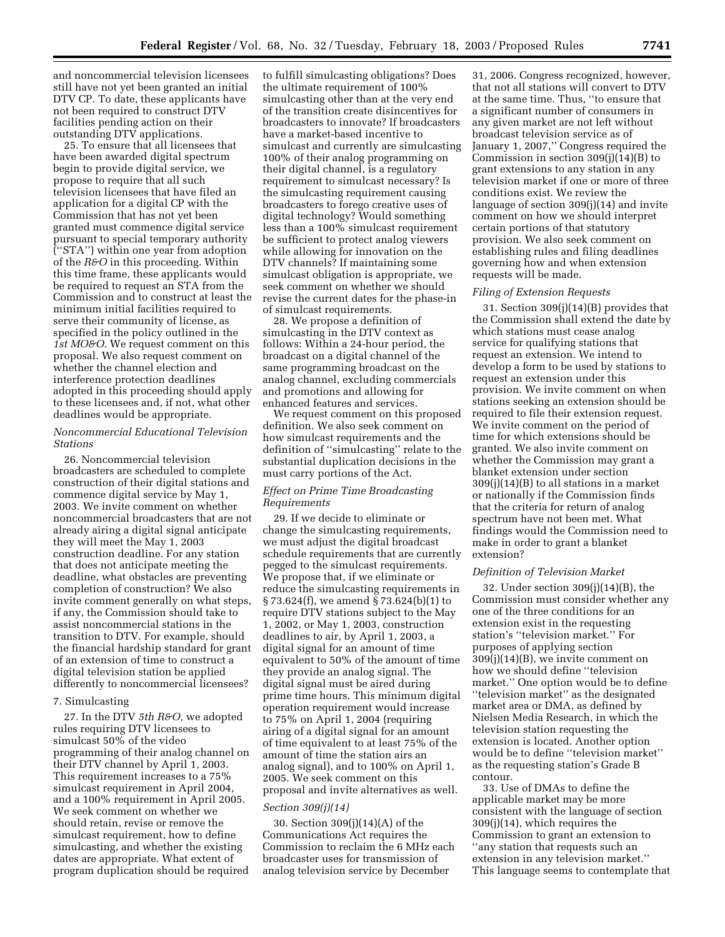and noncommercial television licensees still have not yet been granted an initial DTV CP. To date, these applicants have not been required to construct DTV facilities pending action on their outstanding DTV applications.

25. To ensure that all licensees that have been awarded digital spectrum begin to provide digital service, we propose to require that all such television licensees that have filed an application for a digital CP with the Commission that has not yet been granted must commence digital service pursuant to special temporary authority (''STA'') within one year from adoption of the *R&O* in this proceeding. Within this time frame, these applicants would be required to request an STA from the Commission and to construct at least the minimum initial facilities required to serve their community of license, as specified in the policy outlined in the *1st MO&O.* We request comment on this proposal. We also request comment on whether the channel election and interference protection deadlines adopted in this proceeding should apply to these licensees and, if not, what other deadlines would be appropriate.

## *Noncommercial Educational Television Stations*

26. Noncommercial television broadcasters are scheduled to complete construction of their digital stations and commence digital service by May 1, 2003. We invite comment on whether noncommercial broadcasters that are not already airing a digital signal anticipate they will meet the May 1, 2003 construction deadline. For any station that does not anticipate meeting the deadline, what obstacles are preventing completion of construction? We also invite comment generally on what steps, if any, the Commission should take to assist noncommercial stations in the transition to DTV. For example, should the financial hardship standard for grant of an extension of time to construct a digital television station be applied differently to noncommercial licensees?

#### 7. Simulcasting

27. In the DTV *5th R&O,* we adopted rules requiring DTV licensees to simulcast 50% of the video programming of their analog channel on their DTV channel by April 1, 2003. This requirement increases to a 75% simulcast requirement in April 2004, and a 100% requirement in April 2005. We seek comment on whether we should retain, revise or remove the simulcast requirement, how to define simulcasting, and whether the existing dates are appropriate. What extent of program duplication should be required

to fulfill simulcasting obligations? Does the ultimate requirement of 100% simulcasting other than at the very end of the transition create disincentives for broadcasters to innovate? If broadcasters have a market-based incentive to simulcast and currently are simulcasting 100% of their analog programming on their digital channel, is a regulatory requirement to simulcast necessary? Is the simulcasting requirement causing broadcasters to forego creative uses of digital technology? Would something less than a 100% simulcast requirement be sufficient to protect analog viewers while allowing for innovation on the DTV channels? If maintaining some simulcast obligation is appropriate, we seek comment on whether we should revise the current dates for the phase-in of simulcast requirements.

28. We propose a definition of simulcasting in the DTV context as follows: Within a 24-hour period, the broadcast on a digital channel of the same programming broadcast on the analog channel, excluding commercials and promotions and allowing for enhanced features and services.

We request comment on this proposed definition. We also seek comment on how simulcast requirements and the definition of ''simulcasting'' relate to the substantial duplication decisions in the must carry portions of the Act.

## *Effect on Prime Time Broadcasting Requirements*

29. If we decide to eliminate or change the simulcasting requirements, we must adjust the digital broadcast schedule requirements that are currently pegged to the simulcast requirements. We propose that, if we eliminate or reduce the simulcasting requirements in § 73.624(f), we amend § 73.624(b)(1) to require DTV stations subject to the May 1, 2002, or May 1, 2003, construction deadlines to air, by April 1, 2003, a digital signal for an amount of time equivalent to 50% of the amount of time they provide an analog signal. The digital signal must be aired during prime time hours. This minimum digital operation requirement would increase to 75% on April 1, 2004 (requiring airing of a digital signal for an amount of time equivalent to at least 75% of the amount of time the station airs an analog signal), and to 100% on April 1, 2005. We seek comment on this proposal and invite alternatives as well.

#### *Section 309(j)(14)*

30. Section 309(j)(14)(A) of the Communications Act requires the Commission to reclaim the 6 MHz each broadcaster uses for transmission of analog television service by December

31, 2006. Congress recognized, however, that not all stations will convert to DTV at the same time. Thus, ''to ensure that a significant number of consumers in any given market are not left without broadcast television service as of January 1, 2007,'' Congress required the Commission in section 309(j)(14)(B) to grant extensions to any station in any television market if one or more of three conditions exist. We review the language of section 309(j)(14) and invite comment on how we should interpret certain portions of that statutory provision. We also seek comment on establishing rules and filing deadlines governing how and when extension requests will be made.

## *Filing of Extension Requests*

31. Section 309(j)(14)(B) provides that the Commission shall extend the date by which stations must cease analog service for qualifying stations that request an extension. We intend to develop a form to be used by stations to request an extension under this provision. We invite comment on when stations seeking an extension should be required to file their extension request. We invite comment on the period of time for which extensions should be granted. We also invite comment on whether the Commission may grant a blanket extension under section  $309(j)(14)(B)$  to all stations in a market or nationally if the Commission finds that the criteria for return of analog spectrum have not been met. What findings would the Commission need to make in order to grant a blanket extension?

## *Definition of Television Market*

32. Under section 309(j)(14)(B), the Commission must consider whether any one of the three conditions for an extension exist in the requesting station's ''television market.'' For purposes of applying section 309(j)(14)(B), we invite comment on how we should define ''television market.'' One option would be to define ''television market'' as the designated market area or DMA, as defined by Nielsen Media Research, in which the television station requesting the extension is located. Another option would be to define ''television market'' as the requesting station's Grade B contour.

33. Use of DMAs to define the applicable market may be more consistent with the language of section 309(j)(14), which requires the Commission to grant an extension to ''any station that requests such an extension in any television market.'' This language seems to contemplate that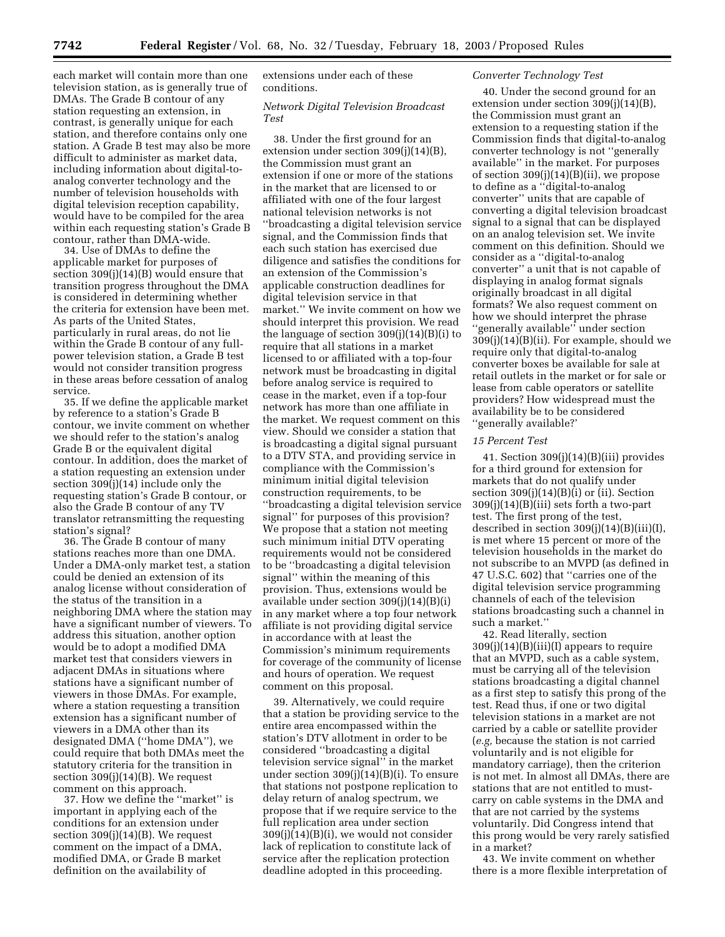each market will contain more than one television station, as is generally true of DMAs. The Grade B contour of any station requesting an extension, in contrast, is generally unique for each station, and therefore contains only one station. A Grade B test may also be more difficult to administer as market data, including information about digital-toanalog converter technology and the number of television households with digital television reception capability, would have to be compiled for the area within each requesting station's Grade B contour, rather than DMA-wide.

34. Use of DMAs to define the applicable market for purposes of section 309(j)(14)(B) would ensure that transition progress throughout the DMA is considered in determining whether the criteria for extension have been met. As parts of the United States, particularly in rural areas, do not lie within the Grade B contour of any fullpower television station, a Grade B test would not consider transition progress in these areas before cessation of analog service.

35. If we define the applicable market by reference to a station's Grade B contour, we invite comment on whether we should refer to the station's analog Grade B or the equivalent digital contour. In addition, does the market of a station requesting an extension under section  $309(i)(14)$  include only the requesting station's Grade B contour, or also the Grade B contour of any TV translator retransmitting the requesting station's signal?

36. The Grade B contour of many stations reaches more than one DMA. Under a DMA-only market test, a station could be denied an extension of its analog license without consideration of the status of the transition in a neighboring DMA where the station may have a significant number of viewers. To address this situation, another option would be to adopt a modified DMA market test that considers viewers in adjacent DMAs in situations where stations have a significant number of viewers in those DMAs. For example, where a station requesting a transition extension has a significant number of viewers in a DMA other than its designated DMA (''home DMA''), we could require that both DMAs meet the statutory criteria for the transition in section 309(j)(14)(B). We request comment on this approach.

37. How we define the ''market'' is important in applying each of the conditions for an extension under section 309(j)(14)(B). We request comment on the impact of a DMA, modified DMA, or Grade B market definition on the availability of

extensions under each of these conditions.

## *Network Digital Television Broadcast Test*

38. Under the first ground for an extension under section 309(j)(14)(B), the Commission must grant an extension if one or more of the stations in the market that are licensed to or affiliated with one of the four largest national television networks is not ''broadcasting a digital television service signal, and the Commission finds that each such station has exercised due diligence and satisfies the conditions for an extension of the Commission's applicable construction deadlines for digital television service in that market.'' We invite comment on how we should interpret this provision. We read the language of section 309(j)(14)(B)(i) to require that all stations in a market licensed to or affiliated with a top-four network must be broadcasting in digital before analog service is required to cease in the market, even if a top-four network has more than one affiliate in the market. We request comment on this view. Should we consider a station that is broadcasting a digital signal pursuant to a DTV STA, and providing service in compliance with the Commission's minimum initial digital television construction requirements, to be ''broadcasting a digital television service signal'' for purposes of this provision? We propose that a station not meeting such minimum initial DTV operating requirements would not be considered to be ''broadcasting a digital television signal'' within the meaning of this provision. Thus, extensions would be available under section 309(j)(14)(B)(i) in any market where a top four network affiliate is not providing digital service in accordance with at least the Commission's minimum requirements for coverage of the community of license and hours of operation. We request comment on this proposal.

39. Alternatively, we could require that a station be providing service to the entire area encompassed within the station's DTV allotment in order to be considered ''broadcasting a digital television service signal'' in the market under section 309(j)(14)(B)(i). To ensure that stations not postpone replication to delay return of analog spectrum, we propose that if we require service to the full replication area under section  $309(j)(14)(B)(i)$ , we would not consider lack of replication to constitute lack of service after the replication protection deadline adopted in this proceeding.

## *Converter Technology Test*

40. Under the second ground for an extension under section 309(j)(14)(B), the Commission must grant an extension to a requesting station if the Commission finds that digital-to-analog converter technology is not ''generally available'' in the market. For purposes of section 309(j)(14)(B)(ii), we propose to define as a ''digital-to-analog converter'' units that are capable of converting a digital television broadcast signal to a signal that can be displayed on an analog television set. We invite comment on this definition. Should we consider as a ''digital-to-analog converter'' a unit that is not capable of displaying in analog format signals originally broadcast in all digital formats? We also request comment on how we should interpret the phrase ''generally available'' under section 309(j)(14)(B)(ii). For example, should we require only that digital-to-analog converter boxes be available for sale at retail outlets in the market or for sale or lease from cable operators or satellite providers? How widespread must the availability be to be considered ''generally available?'

## *15 Percent Test*

41. Section 309(j)(14)(B)(iii) provides for a third ground for extension for markets that do not qualify under section  $309(j)(14)(B)(i)$  or (ii). Section 309(j)(14)(B)(iii) sets forth a two-part test. The first prong of the test, described in section 309(j)(14)(B)(iii)(I), is met where 15 percent or more of the television households in the market do not subscribe to an MVPD (as defined in 47 U.S.C. 602) that ''carries one of the digital television service programming channels of each of the television stations broadcasting such a channel in such a market.''

42. Read literally, section  $309(i)(14)(B)(iii)(I)$  appears to require that an MVPD, such as a cable system, must be carrying all of the television stations broadcasting a digital channel as a first step to satisfy this prong of the test. Read thus, if one or two digital television stations in a market are not carried by a cable or satellite provider (*e.g,* because the station is not carried voluntarily and is not eligible for mandatory carriage), then the criterion is not met. In almost all DMAs, there are stations that are not entitled to mustcarry on cable systems in the DMA and that are not carried by the systems voluntarily. Did Congress intend that this prong would be very rarely satisfied in a market?

43. We invite comment on whether there is a more flexible interpretation of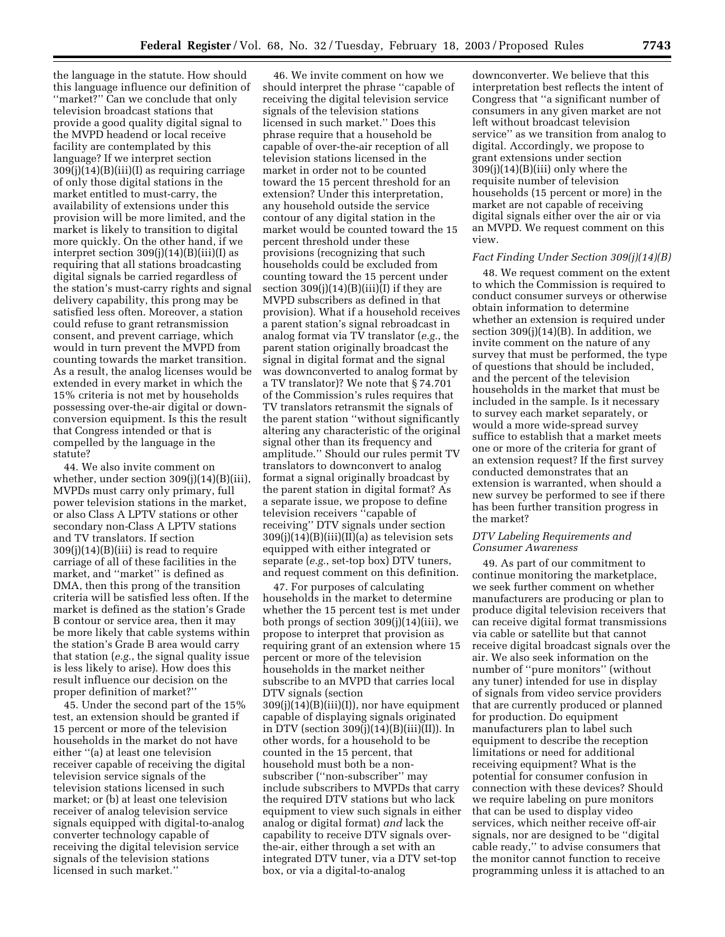the language in the statute. How should this language influence our definition of ''market?'' Can we conclude that only television broadcast stations that provide a good quality digital signal to the MVPD headend or local receive facility are contemplated by this language? If we interpret section 309(j)(14)(B)(iii)(I) as requiring carriage of only those digital stations in the market entitled to must-carry, the availability of extensions under this provision will be more limited, and the market is likely to transition to digital more quickly. On the other hand, if we interpret section  $309(j)(14)(B)(iii)(I)$  as requiring that all stations broadcasting digital signals be carried regardless of the station's must-carry rights and signal delivery capability, this prong may be satisfied less often. Moreover, a station could refuse to grant retransmission consent, and prevent carriage, which would in turn prevent the MVPD from counting towards the market transition. As a result, the analog licenses would be extended in every market in which the 15% criteria is not met by households possessing over-the-air digital or downconversion equipment. Is this the result that Congress intended or that is compelled by the language in the statute?

44. We also invite comment on whether, under section 309(j)(14)(B)(iii), MVPDs must carry only primary, full power television stations in the market, or also Class A LPTV stations or other secondary non-Class A LPTV stations and TV translators. If section  $309(i)(14)(B)(iii)$  is read to require carriage of all of these facilities in the market, and ''market'' is defined as DMA, then this prong of the transition criteria will be satisfied less often. If the market is defined as the station's Grade B contour or service area, then it may be more likely that cable systems within the station's Grade B area would carry that station (*e.g.*, the signal quality issue is less likely to arise). How does this result influence our decision on the proper definition of market?''

45. Under the second part of the 15% test, an extension should be granted if 15 percent or more of the television households in the market do not have either ''(a) at least one television receiver capable of receiving the digital television service signals of the television stations licensed in such market; or (b) at least one television receiver of analog television service signals equipped with digital-to-analog converter technology capable of receiving the digital television service signals of the television stations licensed in such market.''

46. We invite comment on how we should interpret the phrase ''capable of receiving the digital television service signals of the television stations licensed in such market.'' Does this phrase require that a household be capable of over-the-air reception of all television stations licensed in the market in order not to be counted toward the 15 percent threshold for an extension? Under this interpretation, any household outside the service contour of any digital station in the market would be counted toward the 15 percent threshold under these provisions (recognizing that such households could be excluded from counting toward the 15 percent under section  $309(j)(14)(B)(iii)(I)$  if they are MVPD subscribers as defined in that provision). What if a household receives a parent station's signal rebroadcast in analog format via TV translator (*e.g.*, the parent station originally broadcast the signal in digital format and the signal was downconverted to analog format by a TV translator)? We note that § 74.701 of the Commission's rules requires that TV translators retransmit the signals of the parent station ''without significantly altering any characteristic of the original signal other than its frequency and amplitude.'' Should our rules permit TV translators to downconvert to analog format a signal originally broadcast by the parent station in digital format? As a separate issue, we propose to define television receivers ''capable of receiving'' DTV signals under section  $309(i)(14)(B)(iii)(I)(a)$  as television sets equipped with either integrated or separate (*e.g.*, set-top box) DTV tuners, and request comment on this definition.

47. For purposes of calculating households in the market to determine whether the 15 percent test is met under both prongs of section 309(j)(14)(iii), we propose to interpret that provision as requiring grant of an extension where 15 percent or more of the television households in the market neither subscribe to an MVPD that carries local DTV signals (section  $309(j)(14)(B)(iii)(I))$ , nor have equipment capable of displaying signals originated in DTV (section 309(j)(14)(B)(iii)(II)). In other words, for a household to be counted in the 15 percent, that household must both be a nonsubscriber (''non-subscriber'' may include subscribers to MVPDs that carry the required DTV stations but who lack equipment to view such signals in either analog or digital format) *and* lack the capability to receive DTV signals overthe-air, either through a set with an integrated DTV tuner, via a DTV set-top box, or via a digital-to-analog

downconverter. We believe that this interpretation best reflects the intent of Congress that ''a significant number of consumers in any given market are not left without broadcast television service'' as we transition from analog to digital. Accordingly, we propose to grant extensions under section 309(j)(14)(B)(iii) only where the requisite number of television households (15 percent or more) in the market are not capable of receiving digital signals either over the air or via an MVPD. We request comment on this view.

#### *Fact Finding Under Section 309(j)(14)(B)*

48. We request comment on the extent to which the Commission is required to conduct consumer surveys or otherwise obtain information to determine whether an extension is required under section  $309(j)(14)(B)$ . In addition, we invite comment on the nature of any survey that must be performed, the type of questions that should be included, and the percent of the television households in the market that must be included in the sample. Is it necessary to survey each market separately, or would a more wide-spread survey suffice to establish that a market meets one or more of the criteria for grant of an extension request? If the first survey conducted demonstrates that an extension is warranted, when should a new survey be performed to see if there has been further transition progress in the market?

### *DTV Labeling Requirements and Consumer Awareness*

49. As part of our commitment to continue monitoring the marketplace, we seek further comment on whether manufacturers are producing or plan to produce digital television receivers that can receive digital format transmissions via cable or satellite but that cannot receive digital broadcast signals over the air. We also seek information on the number of ''pure monitors'' (without any tuner) intended for use in display of signals from video service providers that are currently produced or planned for production. Do equipment manufacturers plan to label such equipment to describe the reception limitations or need for additional receiving equipment? What is the potential for consumer confusion in connection with these devices? Should we require labeling on pure monitors that can be used to display video services, which neither receive off-air signals, nor are designed to be ''digital cable ready,'' to advise consumers that the monitor cannot function to receive programming unless it is attached to an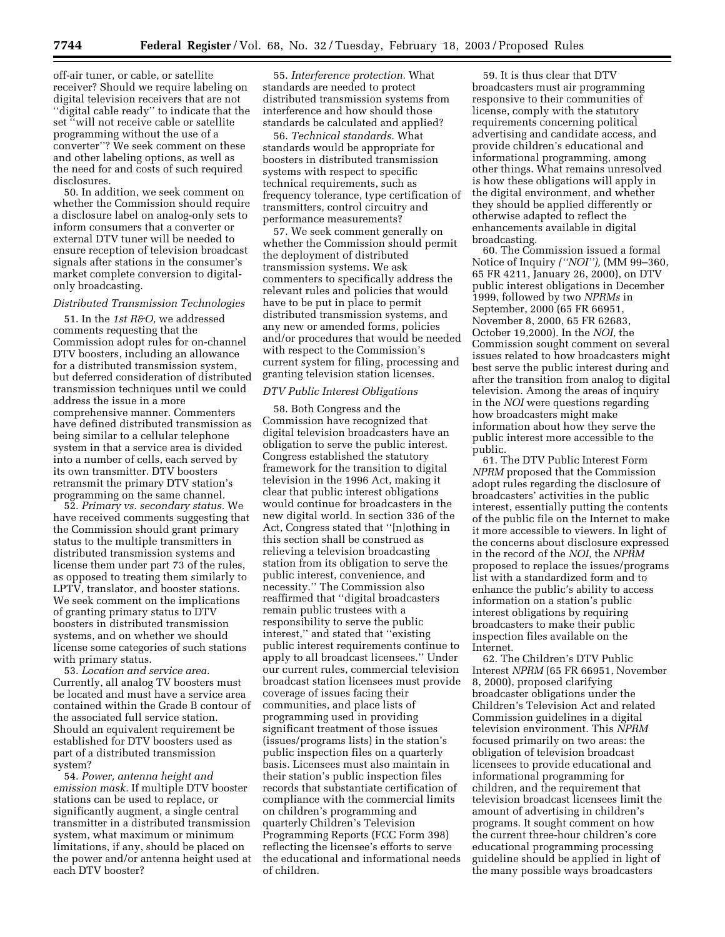off-air tuner, or cable, or satellite receiver? Should we require labeling on digital television receivers that are not ''digital cable ready'' to indicate that the set "will not receive cable or satellite programming without the use of a converter''? We seek comment on these and other labeling options, as well as the need for and costs of such required disclosures.

50. In addition, we seek comment on whether the Commission should require a disclosure label on analog-only sets to inform consumers that a converter or external DTV tuner will be needed to ensure reception of television broadcast signals after stations in the consumer's market complete conversion to digitalonly broadcasting.

# *Distributed Transmission Technologies*

51. In the *1st R&O,* we addressed comments requesting that the Commission adopt rules for on-channel DTV boosters, including an allowance for a distributed transmission system, but deferred consideration of distributed transmission techniques until we could address the issue in a more comprehensive manner. Commenters have defined distributed transmission as being similar to a cellular telephone system in that a service area is divided into a number of cells, each served by its own transmitter. DTV boosters retransmit the primary DTV station's programming on the same channel.

52. *Primary vs. secondary status.* We have received comments suggesting that the Commission should grant primary status to the multiple transmitters in distributed transmission systems and license them under part 73 of the rules, as opposed to treating them similarly to LPTV, translator, and booster stations. We seek comment on the implications of granting primary status to DTV boosters in distributed transmission systems, and on whether we should license some categories of such stations with primary status.

53. *Location and service area.* Currently, all analog TV boosters must be located and must have a service area contained within the Grade B contour of the associated full service station. Should an equivalent requirement be established for DTV boosters used as part of a distributed transmission system?

54. *Power, antenna height and emission mask.* If multiple DTV booster stations can be used to replace, or significantly augment, a single central transmitter in a distributed transmission system, what maximum or minimum limitations, if any, should be placed on the power and/or antenna height used at each DTV booster?

55. *Interference protection.* What standards are needed to protect distributed transmission systems from interference and how should those standards be calculated and applied?

56. *Technical standards.* What standards would be appropriate for boosters in distributed transmission systems with respect to specific technical requirements, such as frequency tolerance, type certification of transmitters, control circuitry and performance measurements?

57. We seek comment generally on whether the Commission should permit the deployment of distributed transmission systems. We ask commenters to specifically address the relevant rules and policies that would have to be put in place to permit distributed transmission systems, and any new or amended forms, policies and/or procedures that would be needed with respect to the Commission's current system for filing, processing and granting television station licenses.

### *DTV Public Interest Obligations*

58. Both Congress and the Commission have recognized that digital television broadcasters have an obligation to serve the public interest. Congress established the statutory framework for the transition to digital television in the 1996 Act, making it clear that public interest obligations would continue for broadcasters in the new digital world. In section 336 of the Act, Congress stated that ''[n]othing in this section shall be construed as relieving a television broadcasting station from its obligation to serve the public interest, convenience, and necessity.'' The Commission also reaffirmed that ''digital broadcasters remain public trustees with a responsibility to serve the public interest,'' and stated that ''existing public interest requirements continue to apply to all broadcast licensees.'' Under our current rules, commercial television broadcast station licensees must provide coverage of issues facing their communities, and place lists of programming used in providing significant treatment of those issues (issues/programs lists) in the station's public inspection files on a quarterly basis. Licensees must also maintain in their station's public inspection files records that substantiate certification of compliance with the commercial limits on children's programming and quarterly Children's Television Programming Reports (FCC Form 398) reflecting the licensee's efforts to serve the educational and informational needs of children.

59. It is thus clear that DTV broadcasters must air programming responsive to their communities of license, comply with the statutory requirements concerning political advertising and candidate access, and provide children's educational and informational programming, among other things. What remains unresolved is how these obligations will apply in the digital environment, and whether they should be applied differently or otherwise adapted to reflect the enhancements available in digital broadcasting.

60. The Commission issued a formal Notice of Inquiry *(''NOI''),* (MM 99–360, 65 FR 4211, January 26, 2000), on DTV public interest obligations in December 1999, followed by two *NPRMs* in September, 2000 (65 FR 66951, November 8, 2000, 65 FR 62683, October 19,2000). In the *NOI,* the Commission sought comment on several issues related to how broadcasters might best serve the public interest during and after the transition from analog to digital television. Among the areas of inquiry in the *NOI* were questions regarding how broadcasters might make information about how they serve the public interest more accessible to the public.

61. The DTV Public Interest Form *NPRM* proposed that the Commission adopt rules regarding the disclosure of broadcasters' activities in the public interest, essentially putting the contents of the public file on the Internet to make it more accessible to viewers. In light of the concerns about disclosure expressed in the record of the *NOI,* the *NPRM* proposed to replace the issues/programs list with a standardized form and to enhance the public's ability to access information on a station's public interest obligations by requiring broadcasters to make their public inspection files available on the Internet.

62. The Children's DTV Public Interest *NPRM* (65 FR 66951, November 8, 2000), proposed clarifying broadcaster obligations under the Children's Television Act and related Commission guidelines in a digital television environment. This *NPRM* focused primarily on two areas: the obligation of television broadcast licensees to provide educational and informational programming for children, and the requirement that television broadcast licensees limit the amount of advertising in children's programs. It sought comment on how the current three-hour children's core educational programming processing guideline should be applied in light of the many possible ways broadcasters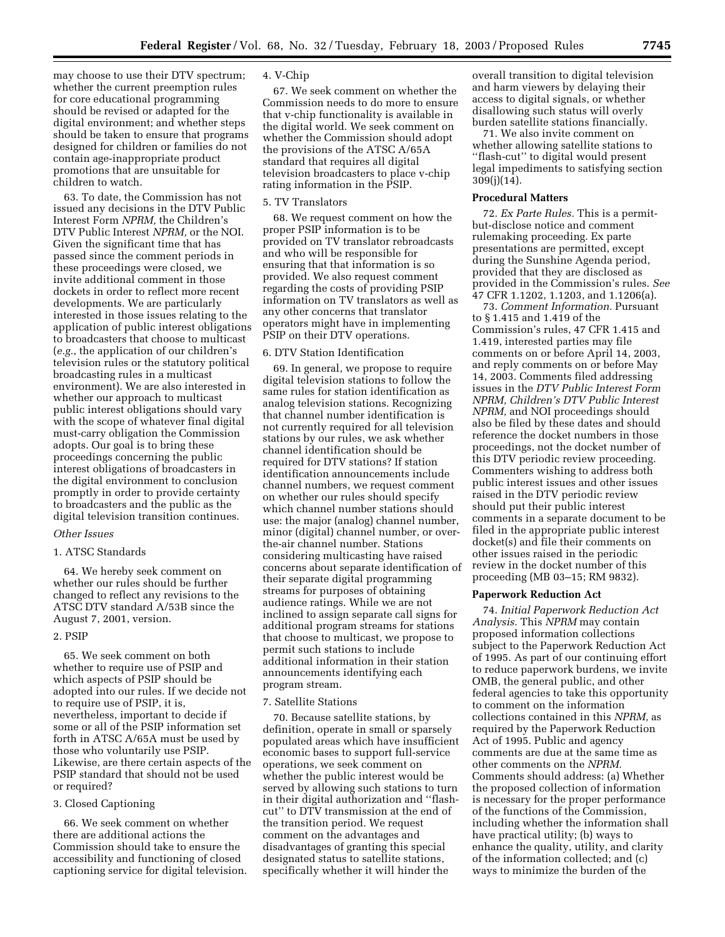may choose to use their DTV spectrum; whether the current preemption rules for core educational programming should be revised or adapted for the digital environment; and whether steps should be taken to ensure that programs designed for children or families do not contain age-inappropriate product promotions that are unsuitable for children to watch.

63. To date, the Commission has not issued any decisions in the DTV Public Interest Form *NPRM,* the Children's DTV Public Interest *NPRM,* or the NOI. Given the significant time that has passed since the comment periods in these proceedings were closed, we invite additional comment in those dockets in order to reflect more recent developments. We are particularly interested in those issues relating to the application of public interest obligations to broadcasters that choose to multicast (*e.g.*, the application of our children's television rules or the statutory political broadcasting rules in a multicast environment). We are also interested in whether our approach to multicast public interest obligations should vary with the scope of whatever final digital must-carry obligation the Commission adopts. Our goal is to bring these proceedings concerning the public interest obligations of broadcasters in the digital environment to conclusion promptly in order to provide certainty to broadcasters and the public as the digital television transition continues.

### *Other Issues*

### 1. ATSC Standards

64. We hereby seek comment on whether our rules should be further changed to reflect any revisions to the ATSC DTV standard A/53B since the August 7, 2001, version.

#### 2. PSIP

65. We seek comment on both whether to require use of PSIP and which aspects of PSIP should be adopted into our rules. If we decide not to require use of PSIP, it is, nevertheless, important to decide if some or all of the PSIP information set forth in ATSC A/65A must be used by those who voluntarily use PSIP. Likewise, are there certain aspects of the PSIP standard that should not be used or required?

## 3. Closed Captioning

66. We seek comment on whether there are additional actions the Commission should take to ensure the accessibility and functioning of closed captioning service for digital television.

### 4. V-Chip

67. We seek comment on whether the Commission needs to do more to ensure that v-chip functionality is available in the digital world. We seek comment on whether the Commission should adopt the provisions of the ATSC A/65A standard that requires all digital television broadcasters to place v-chip rating information in the PSIP.

## 5. TV Translators

68. We request comment on how the proper PSIP information is to be provided on TV translator rebroadcasts and who will be responsible for ensuring that that information is so provided. We also request comment regarding the costs of providing PSIP information on TV translators as well as any other concerns that translator operators might have in implementing PSIP on their DTV operations.

#### 6. DTV Station Identification

69. In general, we propose to require digital television stations to follow the same rules for station identification as analog television stations. Recognizing that channel number identification is not currently required for all television stations by our rules, we ask whether channel identification should be required for DTV stations? If station identification announcements include channel numbers, we request comment on whether our rules should specify which channel number stations should use: the major (analog) channel number, minor (digital) channel number, or overthe-air channel number. Stations considering multicasting have raised concerns about separate identification of their separate digital programming streams for purposes of obtaining audience ratings. While we are not inclined to assign separate call signs for additional program streams for stations that choose to multicast, we propose to permit such stations to include additional information in their station announcements identifying each program stream.

#### 7. Satellite Stations

70. Because satellite stations, by definition, operate in small or sparsely populated areas which have insufficient economic bases to support full-service operations, we seek comment on whether the public interest would be served by allowing such stations to turn in their digital authorization and ''flashcut'' to DTV transmission at the end of the transition period. We request comment on the advantages and disadvantages of granting this special designated status to satellite stations, specifically whether it will hinder the

overall transition to digital television and harm viewers by delaying their access to digital signals, or whether disallowing such status will overly burden satellite stations financially.

71. We also invite comment on whether allowing satellite stations to ''flash-cut'' to digital would present legal impediments to satisfying section 309(j)(14).

## **Procedural Matters**

72. *Ex Parte Rules.* This is a permitbut-disclose notice and comment rulemaking proceeding. Ex parte presentations are permitted, except during the Sunshine Agenda period, provided that they are disclosed as provided in the Commission's rules. *See* 47 CFR 1.1202, 1.1203, and 1.1206(a).

73. *Comment Information.* Pursuant to § 1.415 and 1.419 of the Commission's rules, 47 CFR 1.415 and 1.419, interested parties may file comments on or before April 14, 2003, and reply comments on or before May 14, 2003. Comments filed addressing issues in the *DTV Public Interest Form NPRM, Children's DTV Public Interest NPRM,* and NOI proceedings should also be filed by these dates and should reference the docket numbers in those proceedings, not the docket number of this DTV periodic review proceeding. Commenters wishing to address both public interest issues and other issues raised in the DTV periodic review should put their public interest comments in a separate document to be filed in the appropriate public interest docket(s) and file their comments on other issues raised in the periodic review in the docket number of this proceeding (MB 03–15; RM 9832).

#### **Paperwork Reduction Act**

74. *Initial Paperwork Reduction Act Analysis.* This *NPRM* may contain proposed information collections subject to the Paperwork Reduction Act of 1995. As part of our continuing effort to reduce paperwork burdens, we invite OMB, the general public, and other federal agencies to take this opportunity to comment on the information collections contained in this *NPRM,* as required by the Paperwork Reduction Act of 1995. Public and agency comments are due at the same time as other comments on the *NPRM.* Comments should address: (a) Whether the proposed collection of information is necessary for the proper performance of the functions of the Commission, including whether the information shall have practical utility; (b) ways to enhance the quality, utility, and clarity of the information collected; and (c) ways to minimize the burden of the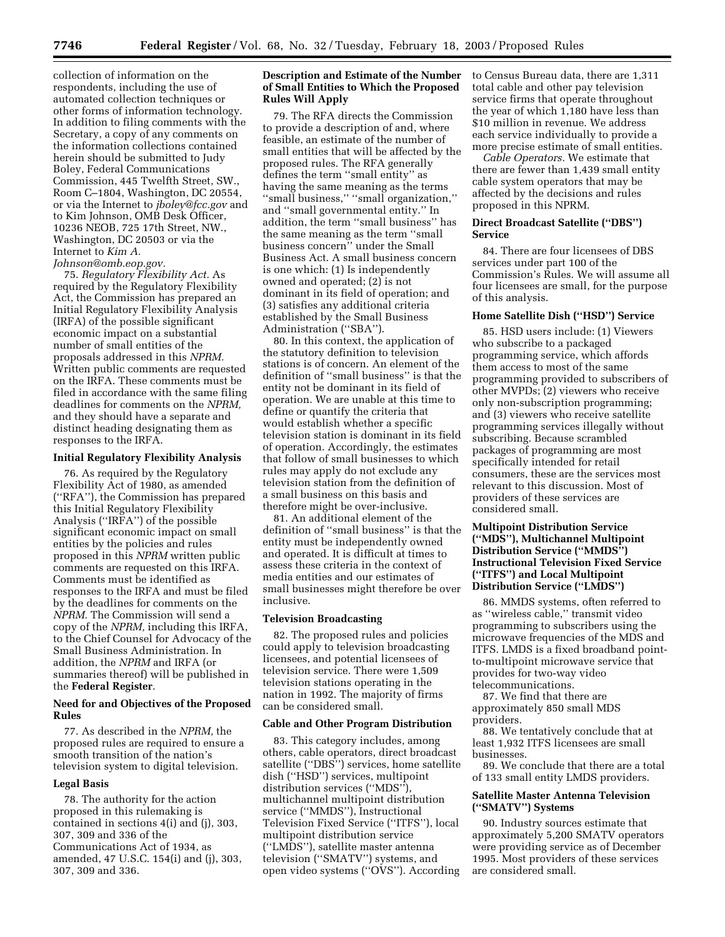collection of information on the respondents, including the use of automated collection techniques or other forms of information technology. In addition to filing comments with the Secretary, a copy of any comments on the information collections contained herein should be submitted to Judy Boley, Federal Communications Commission, 445 Twelfth Street, SW., Room C–1804, Washington, DC 20554, or via the Internet to *jboley@fcc.gov* and to Kim Johnson, OMB Desk Officer, 10236 NEOB, 725 17th Street, NW., Washington, DC 20503 or via the Internet to *Kim A. Johnson@omb.eop.gov.*

75. *Regulatory Flexibility Act.* As required by the Regulatory Flexibility Act, the Commission has prepared an Initial Regulatory Flexibility Analysis (IRFA) of the possible significant economic impact on a substantial number of small entities of the proposals addressed in this *NPRM.* Written public comments are requested on the IRFA. These comments must be filed in accordance with the same filing deadlines for comments on the *NPRM,* and they should have a separate and distinct heading designating them as responses to the IRFA.

#### **Initial Regulatory Flexibility Analysis**

76. As required by the Regulatory Flexibility Act of 1980, as amended (''RFA''), the Commission has prepared this Initial Regulatory Flexibility Analysis (''IRFA'') of the possible significant economic impact on small entities by the policies and rules proposed in this *NPRM* written public comments are requested on this IRFA. Comments must be identified as responses to the IRFA and must be filed by the deadlines for comments on the *NPRM.* The Commission will send a copy of the *NPRM,* including this IRFA, to the Chief Counsel for Advocacy of the Small Business Administration. In addition, the *NPRM* and IRFA (or summaries thereof) will be published in the **Federal Register**.

## **Need for and Objectives of the Proposed Rules**

77. As described in the *NPRM,* the proposed rules are required to ensure a smooth transition of the nation's television system to digital television.

#### **Legal Basis**

78. The authority for the action proposed in this rulemaking is contained in sections 4(i) and (j), 303, 307, 309 and 336 of the Communications Act of 1934, as amended, 47 U.S.C. 154(i) and (j), 303, 307, 309 and 336.

## **Description and Estimate of the Number of Small Entities to Which the Proposed Rules Will Apply**

79. The RFA directs the Commission to provide a description of and, where feasible, an estimate of the number of small entities that will be affected by the proposed rules. The RFA generally defines the term ''small entity'' as having the same meaning as the terms ''small business,'' ''small organization,'' and ''small governmental entity.'' In addition, the term ''small business'' has the same meaning as the term ''small business concern'' under the Small Business Act. A small business concern is one which: (1) Is independently owned and operated; (2) is not dominant in its field of operation; and (3) satisfies any additional criteria established by the Small Business Administration (''SBA'').

80. In this context, the application of the statutory definition to television stations is of concern. An element of the definition of ''small business'' is that the entity not be dominant in its field of operation. We are unable at this time to define or quantify the criteria that would establish whether a specific television station is dominant in its field of operation. Accordingly, the estimates that follow of small businesses to which rules may apply do not exclude any television station from the definition of a small business on this basis and therefore might be over-inclusive.

81. An additional element of the definition of ''small business'' is that the entity must be independently owned and operated. It is difficult at times to assess these criteria in the context of media entities and our estimates of small businesses might therefore be over inclusive.

#### **Television Broadcasting**

82. The proposed rules and policies could apply to television broadcasting licensees, and potential licensees of television service. There were 1,509 television stations operating in the nation in 1992. The majority of firms can be considered small.

#### **Cable and Other Program Distribution**

83. This category includes, among others, cable operators, direct broadcast satellite (''DBS'') services, home satellite dish (''HSD'') services, multipoint distribution services (''MDS''), multichannel multipoint distribution service (''MMDS''), Instructional Television Fixed Service (''ITFS''), local multipoint distribution service (''LMDS''), satellite master antenna television (''SMATV'') systems, and open video systems (''OVS''). According

to Census Bureau data, there are 1,311 total cable and other pay television service firms that operate throughout the year of which 1,180 have less than \$10 million in revenue. We address each service individually to provide a more precise estimate of small entities.

*Cable Operators.* We estimate that there are fewer than 1,439 small entity cable system operators that may be affected by the decisions and rules proposed in this NPRM.

## **Direct Broadcast Satellite (''DBS'') Service**

84. There are four licensees of DBS services under part 100 of the Commission's Rules. We will assume all four licensees are small, for the purpose of this analysis.

### **Home Satellite Dish (''HSD'') Service**

85. HSD users include: (1) Viewers who subscribe to a packaged programming service, which affords them access to most of the same programming provided to subscribers of other MVPDs; (2) viewers who receive only non-subscription programming; and (3) viewers who receive satellite programming services illegally without subscribing. Because scrambled packages of programming are most specifically intended for retail consumers, these are the services most relevant to this discussion. Most of providers of these services are considered small.

## **Multipoint Distribution Service (''MDS''), Multichannel Multipoint Distribution Service (''MMDS'') Instructional Television Fixed Service (''ITFS'') and Local Multipoint Distribution Service (''LMDS'')**

86. MMDS systems, often referred to as ''wireless cable,'' transmit video programming to subscribers using the microwave frequencies of the MDS and ITFS. LMDS is a fixed broadband pointto-multipoint microwave service that provides for two-way video telecommunications.

87. We find that there are approximately 850 small MDS providers.

88. We tentatively conclude that at least 1,932 ITFS licensees are small businesses.

89. We conclude that there are a total of 133 small entity LMDS providers.

## **Satellite Master Antenna Television (''SMATV'') Systems**

90. Industry sources estimate that approximately 5,200 SMATV operators were providing service as of December 1995. Most providers of these services are considered small.